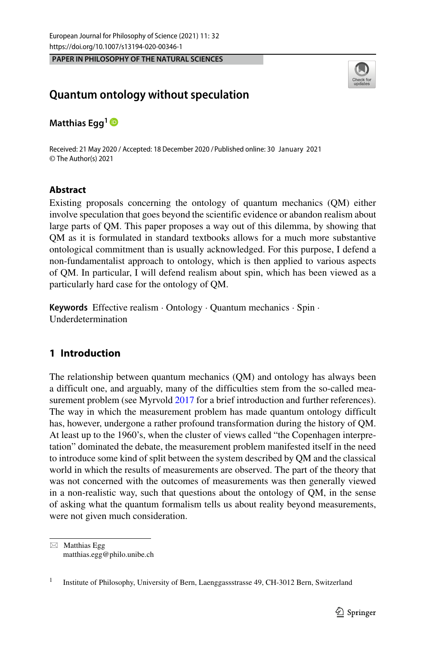**PAPER IN PHILOSOPHY OF THE NATURAL SCIENCES**



# **Quantum ontology without speculation**

**Matthias Egg<sup>1</sup>**

Received: 21 May 2020 / Accepted: 18 December 2020 / Published online: 30 January 2021© The Author(s) 2021

## **Abstract**

Existing proposals concerning the ontology of quantum mechanics (QM) either involve speculation that goes beyond the scientific evidence or abandon realism about large parts of QM. This paper proposes a way out of this dilemma, by showing that QM as it is formulated in standard textbooks allows for a much more substantive ontological commitment than is usually acknowledged. For this purpose, I defend a non-fundamentalist approach to ontology, which is then applied to various aspects of QM. In particular, I will defend realism about spin, which has been viewed as a particularly hard case for the ontology of QM.

**Keywords** Effective realism · Ontology · Quantum mechanics · Spin · Underdetermination

## <span id="page-0-0"></span>**1 Introduction**

The relationship between quantum mechanics (QM) and ontology has always been a difficult one, and arguably, many of the difficulties stem from the so-called mea-surement problem (see Myrvold [2017](#page-24-0) for a brief introduction and further references). The way in which the measurement problem has made quantum ontology difficult has, however, undergone a rather profound transformation during the history of QM. At least up to the 1960's, when the cluster of views called "the Copenhagen interpretation" dominated the debate, the measurement problem manifested itself in the need to introduce some kind of split between the system described by QM and the classical world in which the results of measurements are observed. The part of the theory that was not concerned with the outcomes of measurements was then generally viewed in a non-realistic way, such that questions about the ontology of QM, in the sense of asking what the quantum formalism tells us about reality beyond measurements, were not given much consideration.

 $\boxtimes$  Matthias Egg [matthias.egg@philo.unibe.ch](mailto: matthias.egg@philo.unibe.ch)

<sup>&</sup>lt;sup>1</sup> Institute of Philosophy, University of Bern, Laenggassstrasse 49, CH-3012 Bern, Switzerland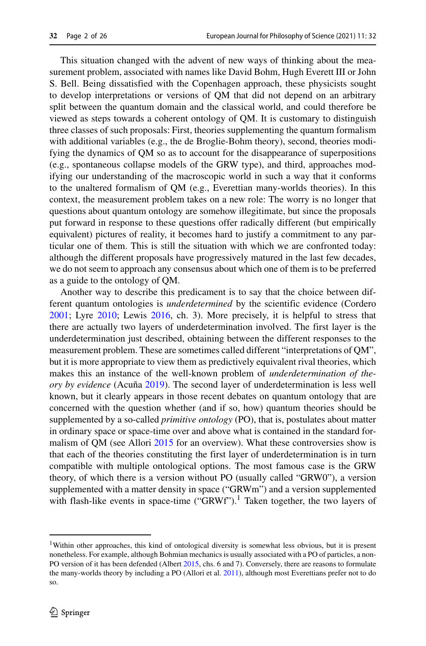This situation changed with the advent of new ways of thinking about the measurement problem, associated with names like David Bohm, Hugh Everett III or John S. Bell. Being dissatisfied with the Copenhagen approach, these physicists sought to develop interpretations or versions of QM that did not depend on an arbitrary split between the quantum domain and the classical world, and could therefore be viewed as steps towards a coherent ontology of QM. It is customary to distinguish three classes of such proposals: First, theories supplementing the quantum formalism with additional variables (e.g., the de Broglie-Bohm theory), second, theories modifying the dynamics of QM so as to account for the disappearance of superpositions (e.g., spontaneous collapse models of the GRW type), and third, approaches modifying our understanding of the macroscopic world in such a way that it conforms to the unaltered formalism of QM (e.g., Everettian many-worlds theories). In this context, the measurement problem takes on a new role: The worry is no longer that questions about quantum ontology are somehow illegitimate, but since the proposals put forward in response to these questions offer radically different (but empirically equivalent) pictures of reality, it becomes hard to justify a commitment to any particular one of them. This is still the situation with which we are confronted today: although the different proposals have progressively matured in the last few decades, we do not seem to approach any consensus about which one of them is to be preferred as a guide to the ontology of QM.

Another way to describe this predicament is to say that the choice between different quantum ontologies is *underdetermined* by the scientific evidence (Cordero [2001;](#page-24-1) Lyre [2010;](#page-24-2) Lewis [2016,](#page-24-3) ch. 3). More precisely, it is helpful to stress that there are actually two layers of underdetermination involved. The first layer is the underdetermination just described, obtaining between the different responses to the measurement problem. These are sometimes called different "interpretations of QM", but it is more appropriate to view them as predictively equivalent rival theories, which makes this an instance of the well-known problem of *underdetermination of theory by evidence* (Acuña [2019\)](#page-23-0). The second layer of underdetermination is less well known, but it clearly appears in those recent debates on quantum ontology that are concerned with the question whether (and if so, how) quantum theories should be supplemented by a so-called *primitive ontology* (PO), that is, postulates about matter in ordinary space or space-time over and above what is contained in the standard formalism of QM (see Allori [2015](#page-23-1) for an overview). What these controversies show is that each of the theories constituting the first layer of underdetermination is in turn compatible with multiple ontological options. The most famous case is the GRW theory, of which there is a version without PO (usually called "GRW0"), a version supplemented with a matter density in space ("GRWm") and a version supplemented with flash-like events in space-time ("GRWf").<sup>1</sup> Taken together, the two layers of

<span id="page-1-0"></span><sup>1</sup>Within other approaches, this kind of ontological diversity is somewhat less obvious, but it is present nonetheless. For example, although Bohmian mechanics is usually associated with a PO of particles, a non-PO version of it has been defended (Albert [2015,](#page-23-2) chs. 6 and 7). Conversely, there are reasons to formulate the many-worlds theory by including a PO (Allori et al. [2011\)](#page-23-3), although most Everettians prefer not to do so.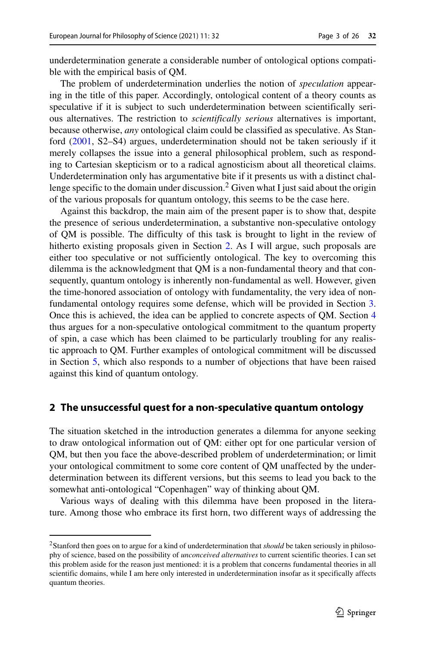underdetermination generate a considerable number of ontological options compatible with the empirical basis of QM.

The problem of underdetermination underlies the notion of *speculation* appearing in the title of this paper. Accordingly, ontological content of a theory counts as speculative if it is subject to such underdetermination between scientifically serious alternatives. The restriction to *scientifically serious* alternatives is important, because otherwise, *any* ontological claim could be classified as speculative. As Stanford [\(2001,](#page-25-0) S2–S4) argues, underdetermination should not be taken seriously if it merely collapses the issue into a general philosophical problem, such as responding to Cartesian skepticism or to a radical agnosticism about all theoretical claims. Underdetermination only has argumentative bite if it presents us with a distinct challenge specific to the domain under discussion.<sup>2</sup> Given what I just said about the origin of the various proposals for quantum ontology, this seems to be the case here.

Against this backdrop, the main aim of the present paper is to show that, despite the presence of serious underdetermination, a substantive non-speculative ontology of QM is possible. The difficulty of this task is brought to light in the review of hitherto existing proposals given in Section [2.](#page-2-1) As I will argue, such proposals are either too speculative or not sufficiently ontological. The key to overcoming this dilemma is the acknowledgment that QM is a non-fundamental theory and that consequently, quantum ontology is inherently non-fundamental as well. However, given the time-honored association of ontology with fundamentality, the very idea of nonfundamental ontology requires some defense, which will be provided in Section [3.](#page-4-0) Once this is achieved, the idea can be applied to concrete aspects of QM. Section [4](#page-10-0) thus argues for a non-speculative ontological commitment to the quantum property of spin, a case which has been claimed to be particularly troubling for any realistic approach to QM. Further examples of ontological commitment will be discussed in Section [5,](#page-16-0) which also responds to a number of objections that have been raised against this kind of quantum ontology.

## <span id="page-2-1"></span>**2 The unsuccessful quest for a non-speculative quantum ontology**

The situation sketched in the introduction generates a dilemma for anyone seeking to draw ontological information out of QM: either opt for one particular version of QM, but then you face the above-described problem of underdetermination; or limit your ontological commitment to some core content of QM unaffected by the underdetermination between its different versions, but this seems to lead you back to the somewhat anti-ontological "Copenhagen" way of thinking about QM.

Various ways of dealing with this dilemma have been proposed in the literature. Among those who embrace its first horn, two different ways of addressing the

<span id="page-2-0"></span><sup>2</sup>Stanford then goes on to argue for a kind of underdetermination that *should* be taken seriously in philosophy of science, based on the possibility of *unconceived alternatives* to current scientific theories. I can set this problem aside for the reason just mentioned: it is a problem that concerns fundamental theories in all scientific domains, while I am here only interested in underdetermination insofar as it specifically affects quantum theories.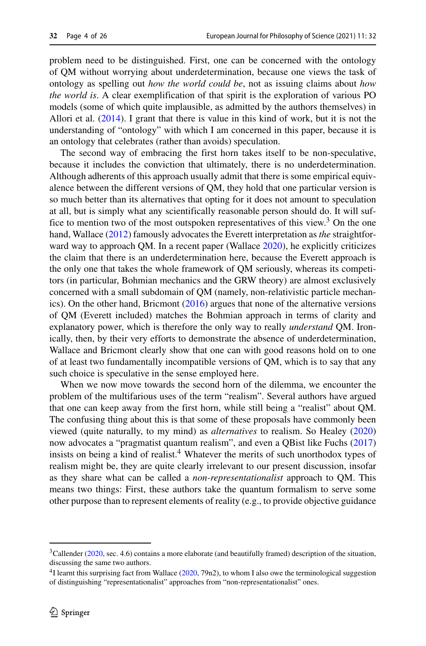problem need to be distinguished. First, one can be concerned with the ontology of QM without worrying about underdetermination, because one views the task of ontology as spelling out *how the world could be*, not as issuing claims about *how the world is*. A clear exemplification of that spirit is the exploration of various PO models (some of which quite implausible, as admitted by the authors themselves) in Allori et al. [\(2014\)](#page-23-4). I grant that there is value in this kind of work, but it is not the understanding of "ontology" with which I am concerned in this paper, because it is an ontology that celebrates (rather than avoids) speculation.

The second way of embracing the first horn takes itself to be non-speculative, because it includes the conviction that ultimately, there is no underdetermination. Although adherents of this approach usually admit that there is some empirical equivalence between the different versions of QM, they hold that one particular version is so much better than its alternatives that opting for it does not amount to speculation at all, but is simply what any scientifically reasonable person should do. It will suffice to mention two of the most outspoken representatives of this view.<sup>3</sup> On the one hand, Wallace [\(2012\)](#page-25-1) famously advocates the Everett interpretation as *the* straightforward way to approach QM. In a recent paper (Wallace [2020\)](#page-25-2), he explicitly criticizes the claim that there is an underdetermination here, because the Everett approach is the only one that takes the whole framework of QM seriously, whereas its competitors (in particular, Bohmian mechanics and the GRW theory) are almost exclusively concerned with a small subdomain of QM (namely, non-relativistic particle mechanics). On the other hand, Bricmont [\(2016\)](#page-24-4) argues that none of the alternative versions of QM (Everett included) matches the Bohmian approach in terms of clarity and explanatory power, which is therefore the only way to really *understand* QM. Ironically, then, by their very efforts to demonstrate the absence of underdetermination, Wallace and Bricmont clearly show that one can with good reasons hold on to one of at least two fundamentally incompatible versions of QM, which is to say that any such choice is speculative in the sense employed here.

When we now move towards the second horn of the dilemma, we encounter the problem of the multifarious uses of the term "realism". Several authors have argued that one can keep away from the first horn, while still being a "realist" about QM. The confusing thing about this is that some of these proposals have commonly been viewed (quite naturally, to my mind) as *alternatives* to realism. So Healey [\(2020\)](#page-24-5) now advocates a "pragmatist quantum realism", and even a QBist like Fuchs [\(2017\)](#page-24-6) insists on being a kind of realist.<sup>4</sup> Whatever the merits of such unorthodox types of realism might be, they are quite clearly irrelevant to our present discussion, insofar as they share what can be called a *non-representationalist* approach to QM. This means two things: First, these authors take the quantum formalism to serve some other purpose than to represent elements of reality (e.g., to provide objective guidance

<span id="page-3-0"></span> $3$ Callender [\(2020,](#page-24-7) sec. 4.6) contains a more elaborate (and beautifully framed) description of the situation, discussing the same two authors.

<span id="page-3-1"></span><sup>4</sup>I learnt this surprising fact from Wallace [\(2020,](#page-25-2) 79n2), to whom I also owe the terminological suggestion of distinguishing "representationalist" approaches from "non-representationalist" ones.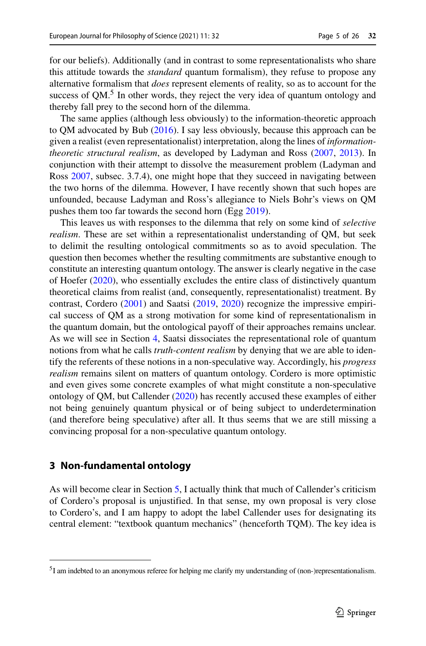for our beliefs). Additionally (and in contrast to some representationalists who share this attitude towards the *standard* quantum formalism), they refuse to propose any alternative formalism that *does* represent elements of reality, so as to account for the success of  $QM$ <sup>[5](#page-4-1)</sup>. In other words, they reject the very idea of quantum ontology and thereby fall prey to the second horn of the dilemma.

The same applies (although less obviously) to the information-theoretic approach to QM advocated by Bub [\(2016\)](#page-24-8). I say less obviously, because this approach can be given a realist (even representationalist) interpretation, along the lines of *informationtheoretic structural realism*, as developed by Ladyman and Ross [\(2007,](#page-24-9) [2013\)](#page-24-10). In conjunction with their attempt to dissolve the measurement problem (Ladyman and Ross [2007,](#page-24-9) subsec. 3.7.4), one might hope that they succeed in navigating between the two horns of the dilemma. However, I have recently shown that such hopes are unfounded, because Ladyman and Ross's allegiance to Niels Bohr's views on QM pushes them too far towards the second horn (Egg [2019\)](#page-24-11).

This leaves us with responses to the dilemma that rely on some kind of *selective realism*. These are set within a representationalist understanding of QM, but seek to delimit the resulting ontological commitments so as to avoid speculation. The question then becomes whether the resulting commitments are substantive enough to constitute an interesting quantum ontology. The answer is clearly negative in the case of Hoefer [\(2020\)](#page-24-12), who essentially excludes the entire class of distinctively quantum theoretical claims from realist (and, consequently, representationalist) treatment. By contrast, Cordero [\(2001\)](#page-24-1) and Saatsi [\(2019,](#page-25-3) [2020\)](#page-25-4) recognize the impressive empirical success of QM as a strong motivation for some kind of representationalism in the quantum domain, but the ontological payoff of their approaches remains unclear. As we will see in Section [4,](#page-10-0) Saatsi dissociates the representational role of quantum notions from what he calls *truth-content realism* by denying that we are able to identify the referents of these notions in a non-speculative way. Accordingly, his *progress realism* remains silent on matters of quantum ontology. Cordero is more optimistic and even gives some concrete examples of what might constitute a non-speculative ontology of QM, but Callender [\(2020\)](#page-24-7) has recently accused these examples of either not being genuinely quantum physical or of being subject to underdetermination (and therefore being speculative) after all. It thus seems that we are still missing a convincing proposal for a non-speculative quantum ontology.

## <span id="page-4-0"></span>**3 Non-fundamental ontology**

As will become clear in Section [5,](#page-16-0) I actually think that much of Callender's criticism of Cordero's proposal is unjustified. In that sense, my own proposal is very close to Cordero's, and I am happy to adopt the label Callender uses for designating its central element: "textbook quantum mechanics" (henceforth TQM). The key idea is

<span id="page-4-1"></span><sup>5</sup>I am indebted to an anonymous referee for helping me clarify my understanding of (non-)representationalism.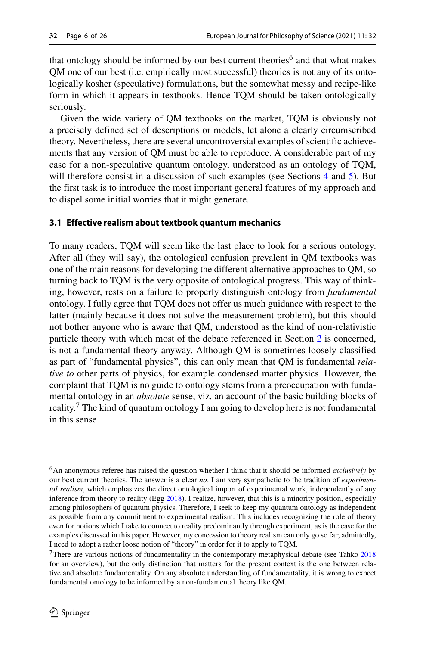that ontology should be informed by our best current theories<sup>[6](#page-5-0)</sup> and that what makes QM one of our best (i.e. empirically most successful) theories is not any of its ontologically kosher (speculative) formulations, but the somewhat messy and recipe-like form in which it appears in textbooks. Hence TQM should be taken ontologically seriously.

Given the wide variety of QM textbooks on the market, TQM is obviously not a precisely defined set of descriptions or models, let alone a clearly circumscribed theory. Nevertheless, there are several uncontroversial examples of scientific achievements that any version of QM must be able to reproduce. A considerable part of my case for a non-speculative quantum ontology, understood as an ontology of TQM, will therefore consist in a discussion of such examples (see Sections [4](#page-10-0) and [5\)](#page-16-0). But the first task is to introduce the most important general features of my approach and to dispel some initial worries that it might generate.

## <span id="page-5-2"></span>**3.1 Effective realism about textbook quantum mechanics**

To many readers, TQM will seem like the last place to look for a serious ontology. After all (they will say), the ontological confusion prevalent in QM textbooks was one of the main reasons for developing the different alternative approaches to QM, so turning back to TQM is the very opposite of ontological progress. This way of thinking, however, rests on a failure to properly distinguish ontology from *fundamental* ontology. I fully agree that TQM does not offer us much guidance with respect to the latter (mainly because it does not solve the measurement problem), but this should not bother anyone who is aware that QM, understood as the kind of non-relativistic particle theory with which most of the debate referenced in Section [2](#page-2-1) is concerned, is not a fundamental theory anyway. Although QM is sometimes loosely classified as part of "fundamental physics", this can only mean that QM is fundamental *relative to* other parts of physics, for example condensed matter physics. However, the complaint that TQM is no guide to ontology stems from a preoccupation with fundamental ontology in an *absolute* sense, viz. an account of the basic building blocks of reality.<sup>7</sup> The kind of quantum ontology I am going to develop here is not fundamental in this sense.

<span id="page-5-0"></span><sup>6</sup>An anonymous referee has raised the question whether I think that it should be informed *exclusively* by our best current theories. The answer is a clear *no*. I am very sympathetic to the tradition of *experimental realism*, which emphasizes the direct ontological import of experimental work, independently of any inference from theory to reality (Egg [2018\)](#page-24-13). I realize, however, that this is a minority position, especially among philosophers of quantum physics. Therefore, I seek to keep my quantum ontology as independent as possible from any commitment to experimental realism. This includes recognizing the role of theory even for notions which I take to connect to reality predominantly through experiment, as is the case for the examples discussed in this paper. However, my concession to theory realism can only go so far; admittedly, I need to adopt a rather loose notion of "theory" in order for it to apply to TQM.

<span id="page-5-1"></span><sup>&</sup>lt;sup>7</sup>There are various notions of fundamentality in the contemporary metaphysical debate (see Tahko  $2018$ for an overview), but the only distinction that matters for the present context is the one between relative and absolute fundamentality. On any absolute understanding of fundamentality, it is wrong to expect fundamental ontology to be informed by a non-fundamental theory like QM.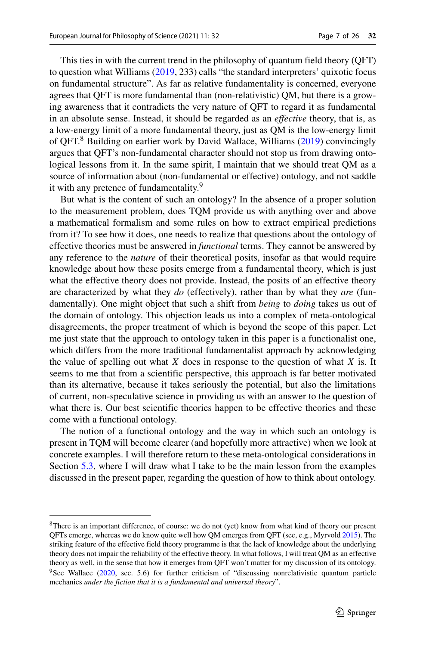This ties in with the current trend in the philosophy of quantum field theory (QFT) to question what Williams [\(2019,](#page-25-6) 233) calls "the standard interpreters' quixotic focus on fundamental structure". As far as relative fundamentality is concerned, everyone agrees that QFT is more fundamental than (non-relativistic) QM, but there is a growing awareness that it contradicts the very nature of QFT to regard it as fundamental in an absolute sense. Instead, it should be regarded as an *effective* theory, that is, as a low-energy limit of a more fundamental theory, just as QM is the low-energy limit of QFT. $8$  Building on earlier work by David Wallace, Williams [\(2019\)](#page-25-6) convincingly argues that QFT's non-fundamental character should not stop us from drawing ontological lessons from it. In the same spirit, I maintain that we should treat QM as a source of information about (non-fundamental or effective) ontology, and not saddle it with any pretence of fundamentality.<sup>[9](#page-6-1)</sup>

But what is the content of such an ontology? In the absence of a proper solution to the measurement problem, does TQM provide us with anything over and above a mathematical formalism and some rules on how to extract empirical predictions from it? To see how it does, one needs to realize that questions about the ontology of effective theories must be answered in *functional* terms. They cannot be answered by any reference to the *nature* of their theoretical posits, insofar as that would require knowledge about how these posits emerge from a fundamental theory, which is just what the effective theory does not provide. Instead, the posits of an effective theory are characterized by what they *do* (effectively), rather than by what they *are* (fundamentally). One might object that such a shift from *being* to *doing* takes us out of the domain of ontology. This objection leads us into a complex of meta-ontological disagreements, the proper treatment of which is beyond the scope of this paper. Let me just state that the approach to ontology taken in this paper is a functionalist one, which differs from the more traditional fundamentalist approach by acknowledging the value of spelling out what *X* does in response to the question of what *X* is. It seems to me that from a scientific perspective, this approach is far better motivated than its alternative, because it takes seriously the potential, but also the limitations of current, non-speculative science in providing us with an answer to the question of what there is. Our best scientific theories happen to be effective theories and these come with a functional ontology.

The notion of a functional ontology and the way in which such an ontology is present in TQM will become clearer (and hopefully more attractive) when we look at concrete examples. I will therefore return to these meta-ontological considerations in Section [5.3,](#page-20-0) where I will draw what I take to be the main lesson from the examples discussed in the present paper, regarding the question of how to think about ontology.

<span id="page-6-1"></span><span id="page-6-0"></span><sup>&</sup>lt;sup>8</sup>There is an important difference, of course: we do not (yet) know from what kind of theory our present QFTs emerge, whereas we do know quite well how QM emerges from QFT (see, e.g., Myrvold [2015\)](#page-24-14). The striking feature of the effective field theory programme is that the lack of knowledge about the underlying theory does not impair the reliability of the effective theory. In what follows, I will treat QM as an effective theory as well, in the sense that how it emerges from QFT won't matter for my discussion of its ontology. 9See Wallace [\(2020,](#page-25-2) sec. 5.6) for further criticism of "discussing nonrelativistic quantum particle mechanics *under the fiction that it is a fundamental and universal theory*".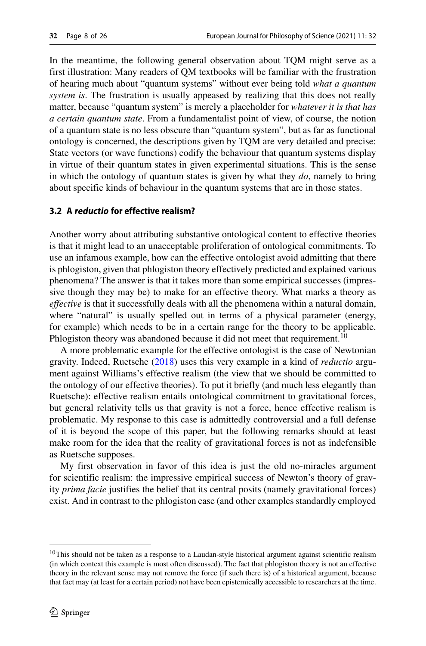In the meantime, the following general observation about TQM might serve as a first illustration: Many readers of QM textbooks will be familiar with the frustration of hearing much about "quantum systems" without ever being told *what a quantum system is*. The frustration is usually appeased by realizing that this does not really matter, because "quantum system" is merely a placeholder for *whatever it is that has a certain quantum state*. From a fundamentalist point of view, of course, the notion of a quantum state is no less obscure than "quantum system", but as far as functional ontology is concerned, the descriptions given by TQM are very detailed and precise: State vectors (or wave functions) codify the behaviour that quantum systems display in virtue of their quantum states in given experimental situations. This is the sense in which the ontology of quantum states is given by what they *do*, namely to bring about specific kinds of behaviour in the quantum systems that are in those states.

## <span id="page-7-1"></span>**3.2 A reductio for effective realism?**

Another worry about attributing substantive ontological content to effective theories is that it might lead to an unacceptable proliferation of ontological commitments. To use an infamous example, how can the effective ontologist avoid admitting that there is phlogiston, given that phlogiston theory effectively predicted and explained various phenomena? The answer is that it takes more than some empirical successes (impressive though they may be) to make for an effective theory. What marks a theory as *effective* is that it successfully deals with all the phenomena within a natural domain, where "natural" is usually spelled out in terms of a physical parameter (energy, for example) which needs to be in a certain range for the theory to be applicable. Phlogiston theory was abandoned because it did not meet that requirement.<sup>10</sup>

A more problematic example for the effective ontologist is the case of Newtonian gravity. Indeed, Ruetsche [\(2018\)](#page-25-7) uses this very example in a kind of *reductio* argument against Williams's effective realism (the view that we should be committed to the ontology of our effective theories). To put it briefly (and much less elegantly than Ruetsche): effective realism entails ontological commitment to gravitational forces, but general relativity tells us that gravity is not a force, hence effective realism is problematic. My response to this case is admittedly controversial and a full defense of it is beyond the scope of this paper, but the following remarks should at least make room for the idea that the reality of gravitational forces is not as indefensible as Ruetsche supposes.

My first observation in favor of this idea is just the old no-miracles argument for scientific realism: the impressive empirical success of Newton's theory of gravity *prima facie* justifies the belief that its central posits (namely gravitational forces) exist. And in contrast to the phlogiston case (and other examples standardly employed

<span id="page-7-0"></span><sup>&</sup>lt;sup>10</sup>This should not be taken as a response to a Laudan-style historical argument against scientific realism (in which context this example is most often discussed). The fact that phlogiston theory is not an effective theory in the relevant sense may not remove the force (if such there is) of a historical argument, because that fact may (at least for a certain period) not have been epistemically accessible to researchers at the time.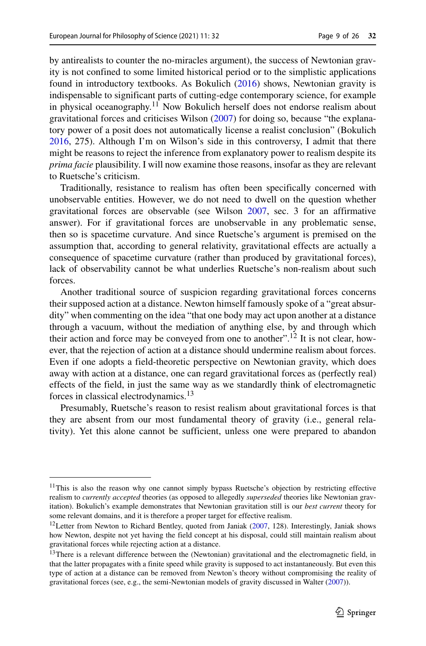by antirealists to counter the no-miracles argument), the success of Newtonian gravity is not confined to some limited historical period or to the simplistic applications found in introductory textbooks. As Bokulich [\(2016\)](#page-24-15) shows, Newtonian gravity is indispensable to significant parts of cutting-edge contemporary science, for example in physical oceanography.<sup>11</sup> Now Bokulich herself does not endorse realism about gravitational forces and criticises Wilson [\(2007\)](#page-25-8) for doing so, because "the explanatory power of a posit does not automatically license a realist conclusion" (Bokulich [2016,](#page-24-15) 275). Although I'm on Wilson's side in this controversy, I admit that there might be reasons to reject the inference from explanatory power to realism despite its *prima facie* plausibility. I will now examine those reasons, insofar as they are relevant to Ruetsche's criticism.

Traditionally, resistance to realism has often been specifically concerned with unobservable entities. However, we do not need to dwell on the question whether gravitational forces are observable (see Wilson [2007,](#page-25-8) sec. 3 for an affirmative answer). For if gravitational forces are unobservable in any problematic sense, then so is spacetime curvature. And since Ruetsche's argument is premised on the assumption that, according to general relativity, gravitational effects are actually a consequence of spacetime curvature (rather than produced by gravitational forces), lack of observability cannot be what underlies Ruetsche's non-realism about such forces.

Another traditional source of suspicion regarding gravitational forces concerns their supposed action at a distance. Newton himself famously spoke of a "great absurdity" when commenting on the idea "that one body may act upon another at a distance through a vacuum, without the mediation of anything else, by and through which their action and force may be conveyed from one to another".<sup>12</sup> It is not clear, however, that the rejection of action at a distance should undermine realism about forces. Even if one adopts a field-theoretic perspective on Newtonian gravity, which does away with action at a distance, one can regard gravitational forces as (perfectly real) effects of the field, in just the same way as we standardly think of electromagnetic forces in classical electrodynamics.[13](#page-8-2)

Presumably, Ruetsche's reason to resist realism about gravitational forces is that they are absent from our most fundamental theory of gravity (i.e., general relativity). Yet this alone cannot be sufficient, unless one were prepared to abandon

<span id="page-8-0"></span><sup>11</sup>This is also the reason why one cannot simply bypass Ruetsche's objection by restricting effective realism to *currently accepted* theories (as opposed to allegedly *superseded* theories like Newtonian gravitation). Bokulich's example demonstrates that Newtonian gravitation still is our *best current* theory for some relevant domains, and it is therefore a proper target for effective realism.

<span id="page-8-1"></span><sup>&</sup>lt;sup>12</sup>Letter from Newton to Richard Bentley, quoted from Janiak  $(2007, 128)$  $(2007, 128)$ . Interestingly, Janiak shows how Newton, despite not yet having the field concept at his disposal, could still maintain realism about gravitational forces while rejecting action at a distance.

<span id="page-8-2"></span><sup>&</sup>lt;sup>13</sup>There is a relevant difference between the (Newtonian) gravitational and the electromagnetic field, in that the latter propagates with a finite speed while gravity is supposed to act instantaneously. But even this type of action at a distance can be removed from Newton's theory without compromising the reality of gravitational forces (see, e.g., the semi-Newtonian models of gravity discussed in Walter [\(2007\)](#page-25-9)).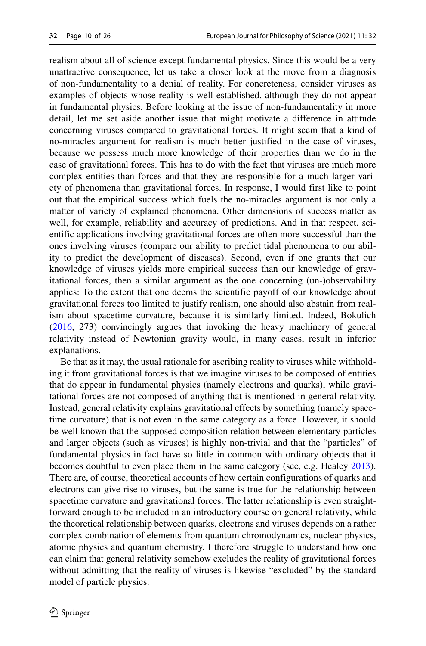realism about all of science except fundamental physics. Since this would be a very unattractive consequence, let us take a closer look at the move from a diagnosis of non-fundamentality to a denial of reality. For concreteness, consider viruses as examples of objects whose reality is well established, although they do not appear in fundamental physics. Before looking at the issue of non-fundamentality in more detail, let me set aside another issue that might motivate a difference in attitude concerning viruses compared to gravitational forces. It might seem that a kind of no-miracles argument for realism is much better justified in the case of viruses, because we possess much more knowledge of their properties than we do in the case of gravitational forces. This has to do with the fact that viruses are much more complex entities than forces and that they are responsible for a much larger variety of phenomena than gravitational forces. In response, I would first like to point out that the empirical success which fuels the no-miracles argument is not only a matter of variety of explained phenomena. Other dimensions of success matter as well, for example, reliability and accuracy of predictions. And in that respect, scientific applications involving gravitational forces are often more successful than the ones involving viruses (compare our ability to predict tidal phenomena to our ability to predict the development of diseases). Second, even if one grants that our knowledge of viruses yields more empirical success than our knowledge of gravitational forces, then a similar argument as the one concerning (un-)observability applies: To the extent that one deems the scientific payoff of our knowledge about gravitational forces too limited to justify realism, one should also abstain from realism about spacetime curvature, because it is similarly limited. Indeed, Bokulich [\(2016,](#page-24-15) 273) convincingly argues that invoking the heavy machinery of general relativity instead of Newtonian gravity would, in many cases, result in inferior explanations.

Be that as it may, the usual rationale for ascribing reality to viruses while withholding it from gravitational forces is that we imagine viruses to be composed of entities that do appear in fundamental physics (namely electrons and quarks), while gravitational forces are not composed of anything that is mentioned in general relativity. Instead, general relativity explains gravitational effects by something (namely spacetime curvature) that is not even in the same category as a force. However, it should be well known that the supposed composition relation between elementary particles and larger objects (such as viruses) is highly non-trivial and that the "particles" of fundamental physics in fact have so little in common with ordinary objects that it becomes doubtful to even place them in the same category (see, e.g. Healey [2013\)](#page-24-17). There are, of course, theoretical accounts of how certain configurations of quarks and electrons can give rise to viruses, but the same is true for the relationship between spacetime curvature and gravitational forces. The latter relationship is even straightforward enough to be included in an introductory course on general relativity, while the theoretical relationship between quarks, electrons and viruses depends on a rather complex combination of elements from quantum chromodynamics, nuclear physics, atomic physics and quantum chemistry. I therefore struggle to understand how one can claim that general relativity somehow excludes the reality of gravitational forces without admitting that the reality of viruses is likewise "excluded" by the standard model of particle physics.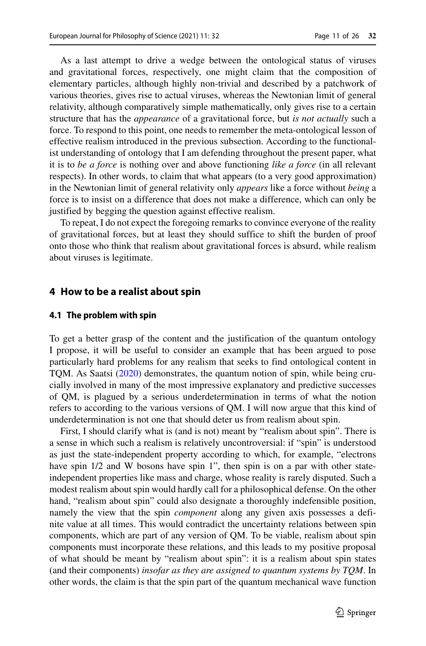As a last attempt to drive a wedge between the ontological status of viruses and gravitational forces, respectively, one might claim that the composition of elementary particles, although highly non-trivial and described by a patchwork of various theories, gives rise to actual viruses, whereas the Newtonian limit of general relativity, although comparatively simple mathematically, only gives rise to a certain structure that has the *appearance* of a gravitational force, but *is not actually* such a force. To respond to this point, one needs to remember the meta-ontological lesson of effective realism introduced in the previous subsection. According to the functionalist understanding of ontology that I am defending throughout the present paper, what it is to *be a force* is nothing over and above functioning *like a force* (in all relevant respects). In other words, to claim that what appears (to a very good approximation) in the Newtonian limit of general relativity only *appears* like a force without *being* a force is to insist on a difference that does not make a difference, which can only be justified by begging the question against effective realism.

To repeat, I do not expect the foregoing remarks to convince everyone of the reality of gravitational forces, but at least they should suffice to shift the burden of proof onto those who think that realism about gravitational forces is absurd, while realism about viruses is legitimate.

#### <span id="page-10-0"></span>**4 How to be a realist about spin**

#### <span id="page-10-1"></span>**4.1 The problem with spin**

To get a better grasp of the content and the justification of the quantum ontology I propose, it will be useful to consider an example that has been argued to pose particularly hard problems for any realism that seeks to find ontological content in TQM. As Saatsi [\(2020\)](#page-25-4) demonstrates, the quantum notion of spin, while being crucially involved in many of the most impressive explanatory and predictive successes of QM, is plagued by a serious underdetermination in terms of what the notion refers to according to the various versions of QM. I will now argue that this kind of underdetermination is not one that should deter us from realism about spin.

First, I should clarify what is (and is not) meant by "realism about spin". There is a sense in which such a realism is relatively uncontroversial: if "spin" is understood as just the state-independent property according to which, for example, "electrons have spin  $1/2$  and W bosons have spin 1", then spin is on a par with other stateindependent properties like mass and charge, whose reality is rarely disputed. Such a modest realism about spin would hardly call for a philosophical defense. On the other hand, "realism about spin" could also designate a thoroughly indefensible position, namely the view that the spin *component* along any given axis possesses a definite value at all times. This would contradict the uncertainty relations between spin components, which are part of any version of QM. To be viable, realism about spin components must incorporate these relations, and this leads to my positive proposal of what should be meant by "realism about spin": it is a realism about spin states (and their components) *insofar as they are assigned to quantum systems by TQM*. In other words, the claim is that the spin part of the quantum mechanical wave function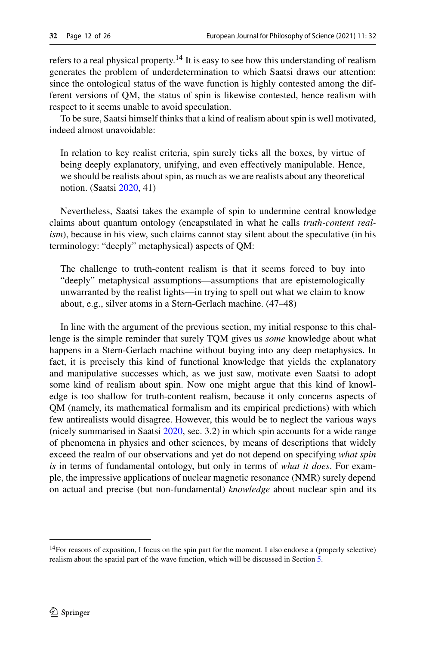refers to a real physical property.[14](#page-11-0) It is easy to see how this understanding of realism generates the problem of underdetermination to which Saatsi draws our attention: since the ontological status of the wave function is highly contested among the different versions of QM, the status of spin is likewise contested, hence realism with respect to it seems unable to avoid speculation.

To be sure, Saatsi himself thinks that a kind of realism about spin is well motivated, indeed almost unavoidable:

In relation to key realist criteria, spin surely ticks all the boxes, by virtue of being deeply explanatory, unifying, and even effectively manipulable. Hence, we should be realists about spin, as much as we are realists about any theoretical notion. (Saatsi [2020,](#page-25-4) 41)

Nevertheless, Saatsi takes the example of spin to undermine central knowledge claims about quantum ontology (encapsulated in what he calls *truth-content realism*), because in his view, such claims cannot stay silent about the speculative (in his terminology: "deeply" metaphysical) aspects of QM:

The challenge to truth-content realism is that it seems forced to buy into "deeply" metaphysical assumptions—assumptions that are epistemologically unwarranted by the realist lights—in trying to spell out what we claim to know about, e.g., silver atoms in a Stern-Gerlach machine. (47–48)

In line with the argument of the previous section, my initial response to this challenge is the simple reminder that surely TQM gives us *some* knowledge about what happens in a Stern-Gerlach machine without buying into any deep metaphysics. In fact, it is precisely this kind of functional knowledge that yields the explanatory and manipulative successes which, as we just saw, motivate even Saatsi to adopt some kind of realism about spin. Now one might argue that this kind of knowledge is too shallow for truth-content realism, because it only concerns aspects of QM (namely, its mathematical formalism and its empirical predictions) with which few antirealists would disagree. However, this would be to neglect the various ways (nicely summarised in Saatsi [2020,](#page-25-4) sec. 3.2) in which spin accounts for a wide range of phenomena in physics and other sciences, by means of descriptions that widely exceed the realm of our observations and yet do not depend on specifying *what spin is* in terms of fundamental ontology, but only in terms of *what it does*. For example, the impressive applications of nuclear magnetic resonance (NMR) surely depend on actual and precise (but non-fundamental) *knowledge* about nuclear spin and its

<span id="page-11-0"></span><sup>&</sup>lt;sup>14</sup>For reasons of exposition, I focus on the spin part for the moment. I also endorse a (properly selective) realism about the spatial part of the wave function, which will be discussed in Section [5.](#page-16-0)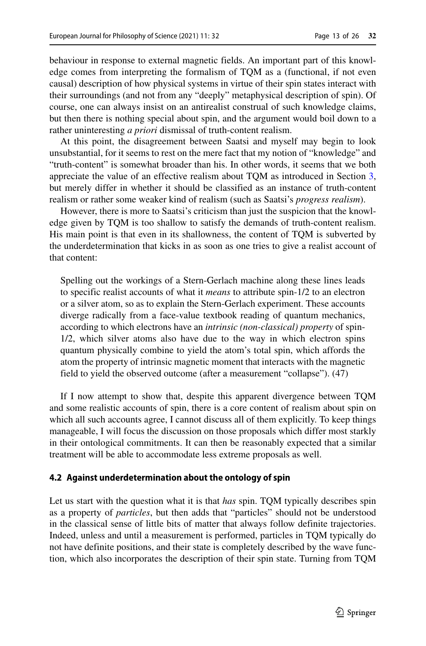behaviour in response to external magnetic fields. An important part of this knowledge comes from interpreting the formalism of TQM as a (functional, if not even causal) description of how physical systems in virtue of their spin states interact with their surroundings (and not from any "deeply" metaphysical description of spin). Of course, one can always insist on an antirealist construal of such knowledge claims, but then there is nothing special about spin, and the argument would boil down to a rather uninteresting *a priori* dismissal of truth-content realism.

At this point, the disagreement between Saatsi and myself may begin to look unsubstantial, for it seems to rest on the mere fact that my notion of "knowledge" and "truth-content" is somewhat broader than his. In other words, it seems that we both appreciate the value of an effective realism about TQM as introduced in Section [3,](#page-4-0) but merely differ in whether it should be classified as an instance of truth-content realism or rather some weaker kind of realism (such as Saatsi's *progress realism*).

However, there is more to Saatsi's criticism than just the suspicion that the knowledge given by TQM is too shallow to satisfy the demands of truth-content realism. His main point is that even in its shallowness, the content of TQM is subverted by the underdetermination that kicks in as soon as one tries to give a realist account of that content:

Spelling out the workings of a Stern-Gerlach machine along these lines leads to specific realist accounts of what it *means* to attribute spin-1/2 to an electron or a silver atom, so as to explain the Stern-Gerlach experiment. These accounts diverge radically from a face-value textbook reading of quantum mechanics, according to which electrons have an *intrinsic (non-classical) property* of spin-1/2, which silver atoms also have due to the way in which electron spins quantum physically combine to yield the atom's total spin, which affords the atom the property of intrinsic magnetic moment that interacts with the magnetic field to yield the observed outcome (after a measurement "collapse"). (47)

If I now attempt to show that, despite this apparent divergence between TQM and some realistic accounts of spin, there is a core content of realism about spin on which all such accounts agree, I cannot discuss all of them explicitly. To keep things manageable, I will focus the discussion on those proposals which differ most starkly in their ontological commitments. It can then be reasonably expected that a similar treatment will be able to accommodate less extreme proposals as well.

## <span id="page-12-0"></span>**4.2 Against underdetermination about the ontology of spin**

Let us start with the question what it is that *has* spin. TQM typically describes spin as a property of *particles*, but then adds that "particles" should not be understood in the classical sense of little bits of matter that always follow definite trajectories. Indeed, unless and until a measurement is performed, particles in TQM typically do not have definite positions, and their state is completely described by the wave function, which also incorporates the description of their spin state. Turning from TQM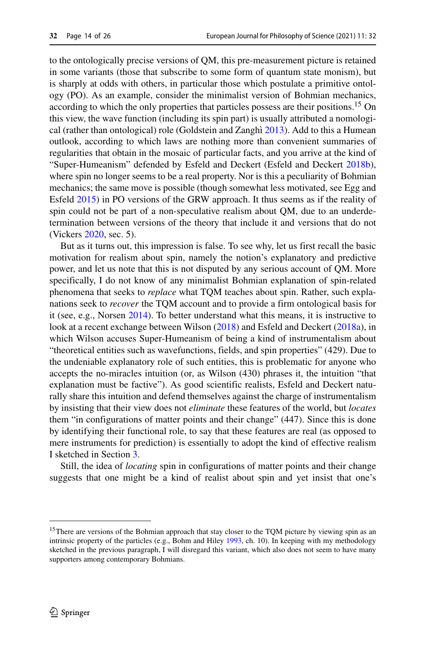to the ontologically precise versions of QM, this pre-measurement picture is retained in some variants (those that subscribe to some form of quantum state monism), but is sharply at odds with others, in particular those which postulate a primitive ontology (PO). As an example, consider the minimalist version of Bohmian mechanics, according to which the only properties that particles possess are their positions.<sup>15</sup> On this view, the wave function (including its spin part) is usually attributed a nomologi-cal (rather than ontological) role (Goldstein and Zanghì [2013\)](#page-24-18). Add to this a Humean outlook, according to which laws are nothing more than convenient summaries of regularities that obtain in the mosaic of particular facts, and you arrive at the kind of "Super-Humeanism" defended by Esfeld and Deckert (Esfeld and Deckert [2018b\)](#page-24-19), where spin no longer seems to be a real property. Nor is this a peculiarity of Bohmian mechanics; the same move is possible (though somewhat less motivated, see Egg and Esfeld [2015\)](#page-24-20) in PO versions of the GRW approach. It thus seems as if the reality of spin could not be part of a non-speculative realism about QM, due to an underdetermination between versions of the theory that include it and versions that do not (Vickers [2020,](#page-25-10) sec. 5).

But as it turns out, this impression is false. To see why, let us first recall the basic motivation for realism about spin, namely the notion's explanatory and predictive power, and let us note that this is not disputed by any serious account of QM. More specifically, I do not know of any minimalist Bohmian explanation of spin-related phenomena that seeks to *replace* what TQM teaches about spin. Rather, such explanations seek to *recover* the TQM account and to provide a firm ontological basis for it (see, e.g., Norsen [2014\)](#page-24-21). To better understand what this means, it is instructive to look at a recent exchange between Wilson [\(2018\)](#page-25-11) and Esfeld and Deckert [\(2018a\)](#page-24-22), in which Wilson accuses Super-Humeanism of being a kind of instrumentalism about "theoretical entities such as wavefunctions, fields, and spin properties" (429). Due to the undeniable explanatory role of such entities, this is problematic for anyone who accepts the no-miracles intuition (or, as Wilson (430) phrases it, the intuition "that explanation must be factive"). As good scientific realists, Esfeld and Deckert naturally share this intuition and defend themselves against the charge of instrumentalism by insisting that their view does not *eliminate* these features of the world, but *locates* them "in configurations of matter points and their change" (447). Since this is done by identifying their functional role, to say that these features are real (as opposed to mere instruments for prediction) is essentially to adopt the kind of effective realism I sketched in Section [3.](#page-4-0)

Still, the idea of *locating* spin in configurations of matter points and their change suggests that one might be a kind of realist about spin and yet insist that one's

<span id="page-13-0"></span><sup>&</sup>lt;sup>15</sup>There are versions of the Bohmian approach that stay closer to the TQM picture by viewing spin as an intrinsic property of the particles (e.g., Bohm and Hiley [1993,](#page-24-23) ch. 10). In keeping with my methodology sketched in the previous paragraph, I will disregard this variant, which also does not seem to have many supporters among contemporary Bohmians.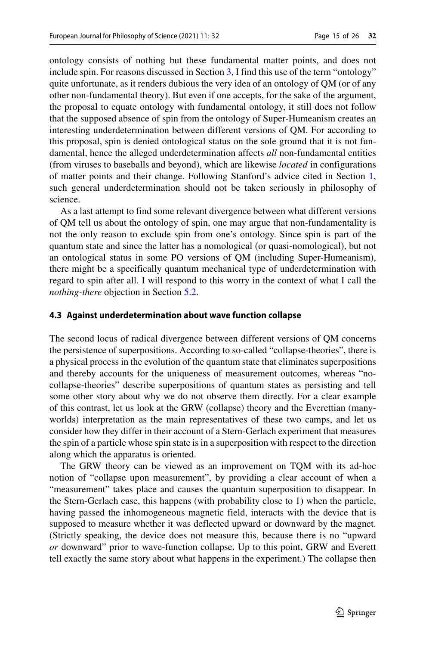ontology consists of nothing but these fundamental matter points, and does not include spin. For reasons discussed in Section [3,](#page-4-0) I find this use of the term "ontology" quite unfortunate, as it renders dubious the very idea of an ontology of QM (or of any other non-fundamental theory). But even if one accepts, for the sake of the argument, the proposal to equate ontology with fundamental ontology, it still does not follow that the supposed absence of spin from the ontology of Super-Humeanism creates an interesting underdetermination between different versions of QM. For according to this proposal, spin is denied ontological status on the sole ground that it is not fundamental, hence the alleged underdetermination affects *all* non-fundamental entities (from viruses to baseballs and beyond), which are likewise *located* in configurations of matter points and their change. Following Stanford's advice cited in Section [1,](#page-0-0) such general underdetermination should not be taken seriously in philosophy of science.

As a last attempt to find some relevant divergence between what different versions of QM tell us about the ontology of spin, one may argue that non-fundamentality is not the only reason to exclude spin from one's ontology. Since spin is part of the quantum state and since the latter has a nomological (or quasi-nomological), but not an ontological status in some PO versions of QM (including Super-Humeanism), there might be a specifically quantum mechanical type of underdetermination with regard to spin after all. I will respond to this worry in the context of what I call the *nothing-there* objection in Section [5.2.](#page-18-0)

#### <span id="page-14-0"></span>**4.3 Against underdetermination about wave function collapse**

The second locus of radical divergence between different versions of QM concerns the persistence of superpositions. According to so-called "collapse-theories", there is a physical process in the evolution of the quantum state that eliminates superpositions and thereby accounts for the uniqueness of measurement outcomes, whereas "nocollapse-theories" describe superpositions of quantum states as persisting and tell some other story about why we do not observe them directly. For a clear example of this contrast, let us look at the GRW (collapse) theory and the Everettian (manyworlds) interpretation as the main representatives of these two camps, and let us consider how they differ in their account of a Stern-Gerlach experiment that measures the spin of a particle whose spin state is in a superposition with respect to the direction along which the apparatus is oriented.

The GRW theory can be viewed as an improvement on TQM with its ad-hoc notion of "collapse upon measurement", by providing a clear account of when a "measurement" takes place and causes the quantum superposition to disappear. In the Stern-Gerlach case, this happens (with probability close to 1) when the particle, having passed the inhomogeneous magnetic field, interacts with the device that is supposed to measure whether it was deflected upward or downward by the magnet. (Strictly speaking, the device does not measure this, because there is no "upward *or* downward" prior to wave-function collapse. Up to this point, GRW and Everett tell exactly the same story about what happens in the experiment.) The collapse then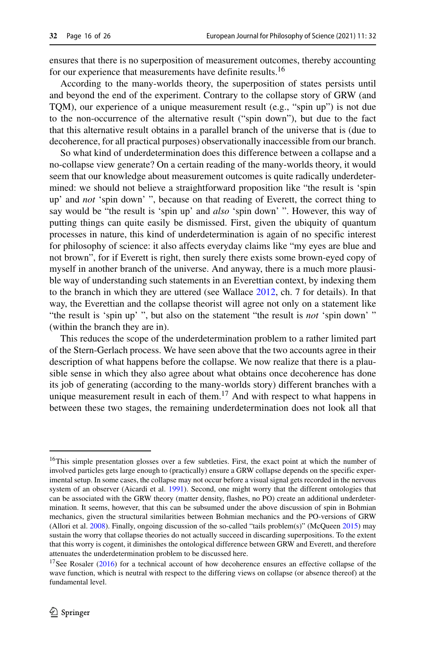ensures that there is no superposition of measurement outcomes, thereby accounting for our experience that measurements have definite results.<sup>[16](#page-15-0)</sup>

According to the many-worlds theory, the superposition of states persists until and beyond the end of the experiment. Contrary to the collapse story of GRW (and TQM), our experience of a unique measurement result (e.g., "spin up") is not due to the non-occurrence of the alternative result ("spin down"), but due to the fact that this alternative result obtains in a parallel branch of the universe that is (due to decoherence, for all practical purposes) observationally inaccessible from our branch.

So what kind of underdetermination does this difference between a collapse and a no-collapse view generate? On a certain reading of the many-worlds theory, it would seem that our knowledge about measurement outcomes is quite radically underdetermined: we should not believe a straightforward proposition like "the result is 'spin up' and *not* 'spin down' ", because on that reading of Everett, the correct thing to say would be "the result is 'spin up' and *also* 'spin down' ". However, this way of putting things can quite easily be dismissed. First, given the ubiquity of quantum processes in nature, this kind of underdetermination is again of no specific interest for philosophy of science: it also affects everyday claims like "my eyes are blue and not brown", for if Everett is right, then surely there exists some brown-eyed copy of myself in another branch of the universe. And anyway, there is a much more plausible way of understanding such statements in an Everettian context, by indexing them to the branch in which they are uttered (see Wallace [2012,](#page-25-1) ch. 7 for details). In that way, the Everettian and the collapse theorist will agree not only on a statement like "the result is 'spin up' ", but also on the statement "the result is *not* 'spin down' " (within the branch they are in).

This reduces the scope of the underdetermination problem to a rather limited part of the Stern-Gerlach process. We have seen above that the two accounts agree in their description of what happens before the collapse. We now realize that there is a plausible sense in which they also agree about what obtains once decoherence has done its job of generating (according to the many-worlds story) different branches with a unique measurement result in each of them.<sup>17</sup> And with respect to what happens in between these two stages, the remaining underdetermination does not look all that

<span id="page-15-0"></span><sup>&</sup>lt;sup>16</sup>This simple presentation glosses over a few subtleties. First, the exact point at which the number of involved particles gets large enough to (practically) ensure a GRW collapse depends on the specific experimental setup. In some cases, the collapse may not occur before a visual signal gets recorded in the nervous system of an observer (Aicardi et al. [1991\)](#page-23-5). Second, one might worry that the different ontologies that can be associated with the GRW theory (matter density, flashes, no PO) create an additional underdetermination. It seems, however, that this can be subsumed under the above discussion of spin in Bohmian mechanics, given the structural similarities between Bohmian mechanics and the PO-versions of GRW (Allori et al. [2008\)](#page-23-6). Finally, ongoing discussion of the so-called "tails problem(s)" (McQueen [2015\)](#page-24-24) may sustain the worry that collapse theories do not actually succeed in discarding superpositions. To the extent that this worry is cogent, it diminishes the ontological difference between GRW and Everett, and therefore attenuates the underdetermination problem to be discussed here.

<span id="page-15-1"></span><sup>&</sup>lt;sup>17</sup>See Rosaler [\(2016\)](#page-24-25) for a technical account of how decoherence ensures an effective collapse of the wave function, which is neutral with respect to the differing views on collapse (or absence thereof) at the fundamental level.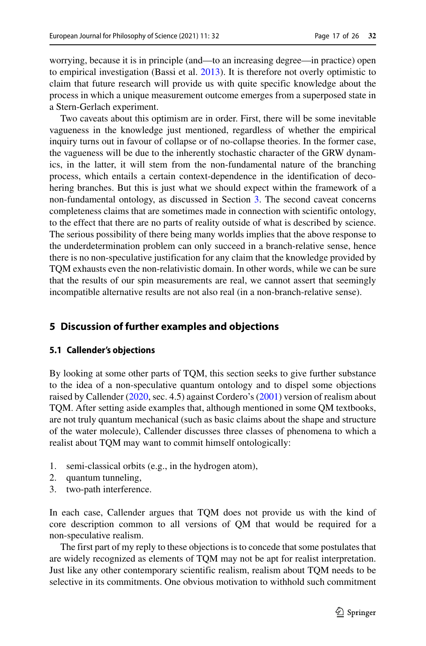worrying, because it is in principle (and—to an increasing degree—in practice) open to empirical investigation (Bassi et al. [2013\)](#page-23-7). It is therefore not overly optimistic to claim that future research will provide us with quite specific knowledge about the process in which a unique measurement outcome emerges from a superposed state in a Stern-Gerlach experiment.

Two caveats about this optimism are in order. First, there will be some inevitable vagueness in the knowledge just mentioned, regardless of whether the empirical inquiry turns out in favour of collapse or of no-collapse theories. In the former case, the vagueness will be due to the inherently stochastic character of the GRW dynamics, in the latter, it will stem from the non-fundamental nature of the branching process, which entails a certain context-dependence in the identification of decohering branches. But this is just what we should expect within the framework of a non-fundamental ontology, as discussed in Section [3.](#page-4-0) The second caveat concerns completeness claims that are sometimes made in connection with scientific ontology, to the effect that there are no parts of reality outside of what is described by science. The serious possibility of there being many worlds implies that the above response to the underdetermination problem can only succeed in a branch-relative sense, hence there is no non-speculative justification for any claim that the knowledge provided by TQM exhausts even the non-relativistic domain. In other words, while we can be sure that the results of our spin measurements are real, we cannot assert that seemingly incompatible alternative results are not also real (in a non-branch-relative sense).

## <span id="page-16-0"></span>**5 Discussion of further examples and objections**

## <span id="page-16-1"></span>**5.1 Callender's objections**

By looking at some other parts of TQM, this section seeks to give further substance to the idea of a non-speculative quantum ontology and to dispel some objections raised by Callender [\(2020,](#page-24-7) sec. 4.5) against Cordero's [\(2001\)](#page-24-1) version of realism about TQM. After setting aside examples that, although mentioned in some QM textbooks, are not truly quantum mechanical (such as basic claims about the shape and structure of the water molecule), Callender discusses three classes of phenomena to which a realist about TQM may want to commit himself ontologically:

- 1. semi-classical orbits (e.g., in the hydrogen atom),
- 2. quantum tunneling,
- 3. two-path interference.

In each case, Callender argues that TQM does not provide us with the kind of core description common to all versions of QM that would be required for a non-speculative realism.

The first part of my reply to these objections is to concede that some postulates that are widely recognized as elements of TQM may not be apt for realist interpretation. Just like any other contemporary scientific realism, realism about TQM needs to be selective in its commitments. One obvious motivation to withhold such commitment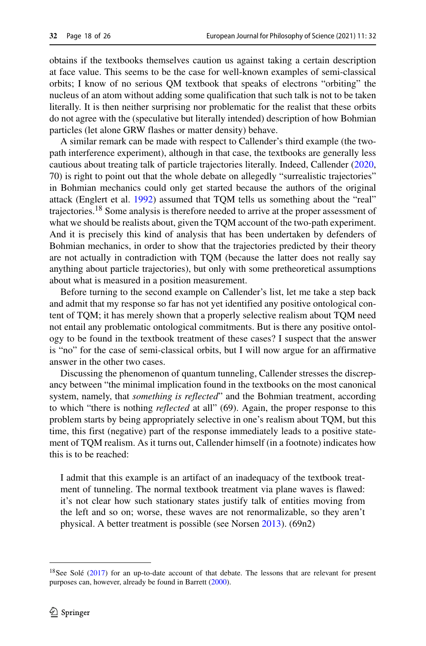obtains if the textbooks themselves caution us against taking a certain description at face value. This seems to be the case for well-known examples of semi-classical orbits; I know of no serious QM textbook that speaks of electrons "orbiting" the nucleus of an atom without adding some qualification that such talk is not to be taken literally. It is then neither surprising nor problematic for the realist that these orbits do not agree with the (speculative but literally intended) description of how Bohmian particles (let alone GRW flashes or matter density) behave.

A similar remark can be made with respect to Callender's third example (the twopath interference experiment), although in that case, the textbooks are generally less cautious about treating talk of particle trajectories literally. Indeed, Callender [\(2020,](#page-24-7) 70) is right to point out that the whole debate on allegedly "surrealistic trajectories" in Bohmian mechanics could only get started because the authors of the original attack (Englert et al. [1992\)](#page-24-26) assumed that TQM tells us something about the "real" trajectories.[18](#page-17-0) Some analysis is therefore needed to arrive at the proper assessment of what we should be realists about, given the TQM account of the two-path experiment. And it is precisely this kind of analysis that has been undertaken by defenders of Bohmian mechanics, in order to show that the trajectories predicted by their theory are not actually in contradiction with TQM (because the latter does not really say anything about particle trajectories), but only with some pretheoretical assumptions about what is measured in a position measurement.

Before turning to the second example on Callender's list, let me take a step back and admit that my response so far has not yet identified any positive ontological content of TQM; it has merely shown that a properly selective realism about TQM need not entail any problematic ontological commitments. But is there any positive ontology to be found in the textbook treatment of these cases? I suspect that the answer is "no" for the case of semi-classical orbits, but I will now argue for an affirmative answer in the other two cases.

Discussing the phenomenon of quantum tunneling, Callender stresses the discrepancy between "the minimal implication found in the textbooks on the most canonical system, namely, that *something is reflected*" and the Bohmian treatment, according to which "there is nothing *reflected* at all" (69). Again, the proper response to this problem starts by being appropriately selective in one's realism about TQM, but this time, this first (negative) part of the response immediately leads to a positive statement of TQM realism. As it turns out, Callender himself (in a footnote) indicates how this is to be reached:

I admit that this example is an artifact of an inadequacy of the textbook treatment of tunneling. The normal textbook treatment via plane waves is flawed: it's not clear how such stationary states justify talk of entities moving from the left and so on; worse, these waves are not renormalizable, so they aren't physical. A better treatment is possible (see Norsen [2013\)](#page-24-27). (69n2)

<span id="page-17-0"></span> $18$ See Solé ([2017\)](#page-25-12) for an up-to-date account of that debate. The lessons that are relevant for present purposes can, however, already be found in Barrett [\(2000\)](#page-23-8).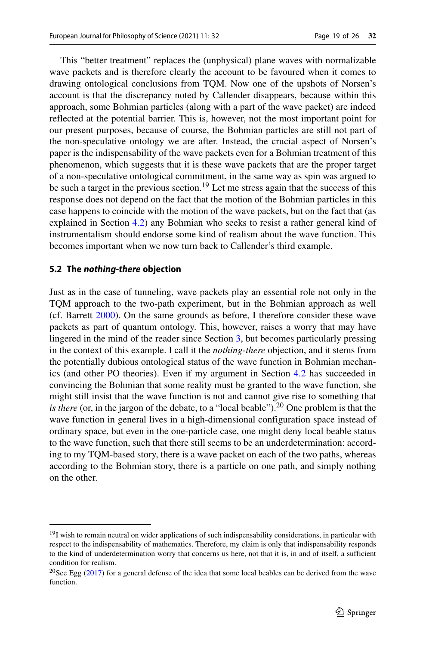This "better treatment" replaces the (unphysical) plane waves with normalizable wave packets and is therefore clearly the account to be favoured when it comes to drawing ontological conclusions from TQM. Now one of the upshots of Norsen's account is that the discrepancy noted by Callender disappears, because within this approach, some Bohmian particles (along with a part of the wave packet) are indeed reflected at the potential barrier. This is, however, not the most important point for our present purposes, because of course, the Bohmian particles are still not part of the non-speculative ontology we are after. Instead, the crucial aspect of Norsen's paper is the indispensability of the wave packets even for a Bohmian treatment of this phenomenon, which suggests that it is these wave packets that are the proper target of a non-speculative ontological commitment, in the same way as spin was argued to be such a target in the previous section.<sup>[19](#page-18-1)</sup> Let me stress again that the success of this response does not depend on the fact that the motion of the Bohmian particles in this case happens to coincide with the motion of the wave packets, but on the fact that (as explained in Section [4.2\)](#page-12-0) any Bohmian who seeks to resist a rather general kind of instrumentalism should endorse some kind of realism about the wave function. This becomes important when we now turn back to Callender's third example.

## <span id="page-18-0"></span>**5.2 The nothing-there objection**

Just as in the case of tunneling, wave packets play an essential role not only in the TQM approach to the two-path experiment, but in the Bohmian approach as well (cf. Barrett [2000\)](#page-23-8). On the same grounds as before, I therefore consider these wave packets as part of quantum ontology. This, however, raises a worry that may have lingered in the mind of the reader since Section [3,](#page-4-0) but becomes particularly pressing in the context of this example. I call it the *nothing-there* objection, and it stems from the potentially dubious ontological status of the wave function in Bohmian mechanics (and other PO theories). Even if my argument in Section [4.2](#page-12-0) has succeeded in convincing the Bohmian that some reality must be granted to the wave function, she might still insist that the wave function is not and cannot give rise to something that *is there* (or, in the jargon of the debate, to a "local beable").<sup>20</sup> One problem is that the wave function in general lives in a high-dimensional configuration space instead of ordinary space, but even in the one-particle case, one might deny local beable status to the wave function, such that there still seems to be an underdetermination: according to my TQM-based story, there is a wave packet on each of the two paths, whereas according to the Bohmian story, there is a particle on one path, and simply nothing on the other.

<span id="page-18-1"></span><sup>&</sup>lt;sup>19</sup>I wish to remain neutral on wider applications of such indispensability considerations, in particular with respect to the indispensability of mathematics. Therefore, my claim is only that indispensability responds to the kind of underdetermination worry that concerns us here, not that it is, in and of itself, a sufficient condition for realism.

<span id="page-18-2"></span><sup>&</sup>lt;sup>20</sup>See Egg  $(2017)$  for a general defense of the idea that some local beables can be derived from the wave function.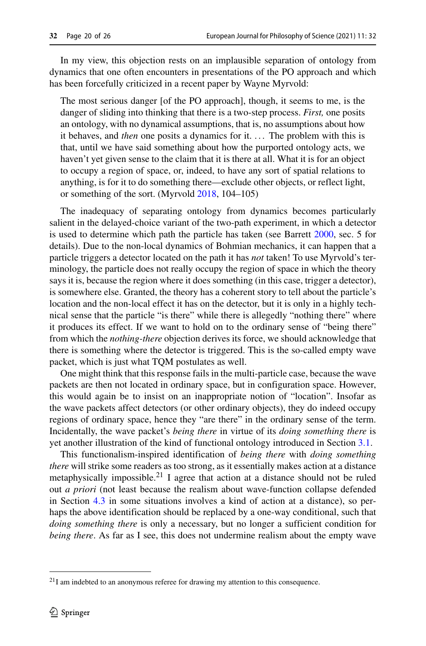In my view, this objection rests on an implausible separation of ontology from dynamics that one often encounters in presentations of the PO approach and which has been forcefully criticized in a recent paper by Wayne Myrvold:

The most serious danger [of the PO approach], though, it seems to me, is the danger of sliding into thinking that there is a two-step process. *First,* one posits an ontology, with no dynamical assumptions, that is, no assumptions about how it behaves, and *then* one posits a dynamics for it. . . . The problem with this is that, until we have said something about how the purported ontology acts, we haven't yet given sense to the claim that it is there at all. What it is for an object to occupy a region of space, or, indeed, to have any sort of spatial relations to anything, is for it to do something there—exclude other objects, or reflect light, or something of the sort. (Myrvold [2018,](#page-24-29) 104–105)

The inadequacy of separating ontology from dynamics becomes particularly salient in the delayed-choice variant of the two-path experiment, in which a detector is used to determine which path the particle has taken (see Barrett [2000,](#page-23-8) sec. 5 for details). Due to the non-local dynamics of Bohmian mechanics, it can happen that a particle triggers a detector located on the path it has *not* taken! To use Myrvold's terminology, the particle does not really occupy the region of space in which the theory says it is, because the region where it does something (in this case, trigger a detector), is somewhere else. Granted, the theory has a coherent story to tell about the particle's location and the non-local effect it has on the detector, but it is only in a highly technical sense that the particle "is there" while there is allegedly "nothing there" where it produces its effect. If we want to hold on to the ordinary sense of "being there" from which the *nothing-there* objection derives its force, we should acknowledge that there is something where the detector is triggered. This is the so-called empty wave packet, which is just what TQM postulates as well.

One might think that this response fails in the multi-particle case, because the wave packets are then not located in ordinary space, but in configuration space. However, this would again be to insist on an inappropriate notion of "location". Insofar as the wave packets affect detectors (or other ordinary objects), they do indeed occupy regions of ordinary space, hence they "are there" in the ordinary sense of the term. Incidentally, the wave packet's *being there* in virtue of its *doing something there* is yet another illustration of the kind of functional ontology introduced in Section [3.1.](#page-5-2)

This functionalism-inspired identification of *being there* with *doing something there* will strike some readers as too strong, as it essentially makes action at a distance metaphysically impossible.<sup>[21](#page-19-0)</sup> I agree that action at a distance should not be ruled out *a priori* (not least because the realism about wave-function collapse defended in Section [4.3](#page-14-0) in some situations involves a kind of action at a distance), so perhaps the above identification should be replaced by a one-way conditional, such that *doing something there* is only a necessary, but no longer a sufficient condition for *being there*. As far as I see, this does not undermine realism about the empty wave

<span id="page-19-0"></span> $21$ I am indebted to an anonymous referee for drawing my attention to this consequence.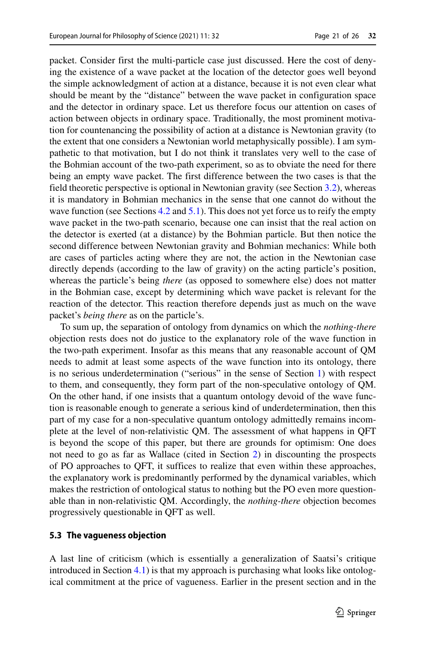packet. Consider first the multi-particle case just discussed. Here the cost of denying the existence of a wave packet at the location of the detector goes well beyond the simple acknowledgment of action at a distance, because it is not even clear what should be meant by the "distance" between the wave packet in configuration space and the detector in ordinary space. Let us therefore focus our attention on cases of action between objects in ordinary space. Traditionally, the most prominent motivation for countenancing the possibility of action at a distance is Newtonian gravity (to the extent that one considers a Newtonian world metaphysically possible). I am sympathetic to that motivation, but I do not think it translates very well to the case of the Bohmian account of the two-path experiment, so as to obviate the need for there being an empty wave packet. The first difference between the two cases is that the field theoretic perspective is optional in Newtonian gravity (see Section [3.2\)](#page-7-1), whereas it is mandatory in Bohmian mechanics in the sense that one cannot do without the wave function (see Sections [4.2](#page-12-0) and [5.1\)](#page-16-1). This does not yet force us to reify the empty wave packet in the two-path scenario, because one can insist that the real action on the detector is exerted (at a distance) by the Bohmian particle. But then notice the second difference between Newtonian gravity and Bohmian mechanics: While both are cases of particles acting where they are not, the action in the Newtonian case directly depends (according to the law of gravity) on the acting particle's position, whereas the particle's being *there* (as opposed to somewhere else) does not matter in the Bohmian case, except by determining which wave packet is relevant for the reaction of the detector. This reaction therefore depends just as much on the wave packet's *being there* as on the particle's.

To sum up, the separation of ontology from dynamics on which the *nothing-there* objection rests does not do justice to the explanatory role of the wave function in the two-path experiment. Insofar as this means that any reasonable account of QM needs to admit at least some aspects of the wave function into its ontology, there is no serious underdetermination ("serious" in the sense of Section [1\)](#page-0-0) with respect to them, and consequently, they form part of the non-speculative ontology of QM. On the other hand, if one insists that a quantum ontology devoid of the wave function is reasonable enough to generate a serious kind of underdetermination, then this part of my case for a non-speculative quantum ontology admittedly remains incomplete at the level of non-relativistic QM. The assessment of what happens in QFT is beyond the scope of this paper, but there are grounds for optimism: One does not need to go as far as Wallace (cited in Section [2\)](#page-2-1) in discounting the prospects of PO approaches to QFT, it suffices to realize that even within these approaches, the explanatory work is predominantly performed by the dynamical variables, which makes the restriction of ontological status to nothing but the PO even more questionable than in non-relativistic QM. Accordingly, the *nothing-there* objection becomes progressively questionable in QFT as well.

## <span id="page-20-0"></span>**5.3 The vagueness objection**

A last line of criticism (which is essentially a generalization of Saatsi's critique introduced in Section [4.1\)](#page-10-1) is that my approach is purchasing what looks like ontological commitment at the price of vagueness. Earlier in the present section and in the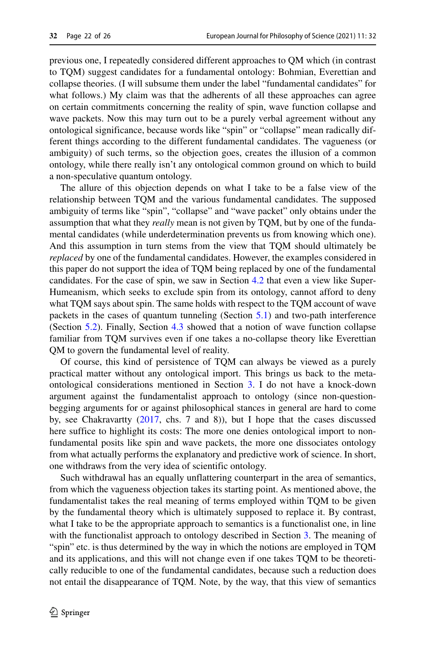previous one, I repeatedly considered different approaches to QM which (in contrast to TQM) suggest candidates for a fundamental ontology: Bohmian, Everettian and collapse theories. (I will subsume them under the label "fundamental candidates" for what follows.) My claim was that the adherents of all these approaches can agree on certain commitments concerning the reality of spin, wave function collapse and wave packets. Now this may turn out to be a purely verbal agreement without any ontological significance, because words like "spin" or "collapse" mean radically different things according to the different fundamental candidates. The vagueness (or ambiguity) of such terms, so the objection goes, creates the illusion of a common ontology, while there really isn't any ontological common ground on which to build a non-speculative quantum ontology.

The allure of this objection depends on what I take to be a false view of the relationship between TQM and the various fundamental candidates. The supposed ambiguity of terms like "spin", "collapse" and "wave packet" only obtains under the assumption that what they *really* mean is not given by TQM, but by one of the fundamental candidates (while underdetermination prevents us from knowing which one). And this assumption in turn stems from the view that TQM should ultimately be *replaced* by one of the fundamental candidates. However, the examples considered in this paper do not support the idea of TQM being replaced by one of the fundamental candidates. For the case of spin, we saw in Section [4.2](#page-12-0) that even a view like Super-Humeanism, which seeks to exclude spin from its ontology, cannot afford to deny what TQM says about spin. The same holds with respect to the TQM account of wave packets in the cases of quantum tunneling (Section [5.1\)](#page-16-1) and two-path interference (Section [5.2\)](#page-18-0). Finally, Section [4.3](#page-14-0) showed that a notion of wave function collapse familiar from TQM survives even if one takes a no-collapse theory like Everettian QM to govern the fundamental level of reality.

Of course, this kind of persistence of TQM can always be viewed as a purely practical matter without any ontological import. This brings us back to the metaontological considerations mentioned in Section [3.](#page-4-0) I do not have a knock-down argument against the fundamentalist approach to ontology (since non-questionbegging arguments for or against philosophical stances in general are hard to come by, see Chakravartty [\(2017,](#page-24-30) chs. 7 and 8)), but I hope that the cases discussed here suffice to highlight its costs: The more one denies ontological import to nonfundamental posits like spin and wave packets, the more one dissociates ontology from what actually performs the explanatory and predictive work of science. In short, one withdraws from the very idea of scientific ontology.

Such withdrawal has an equally unflattering counterpart in the area of semantics, from which the vagueness objection takes its starting point. As mentioned above, the fundamentalist takes the real meaning of terms employed within TQM to be given by the fundamental theory which is ultimately supposed to replace it. By contrast, what I take to be the appropriate approach to semantics is a functionalist one, in line with the functionalist approach to ontology described in Section [3.](#page-4-0) The meaning of "spin" etc. is thus determined by the way in which the notions are employed in TQM and its applications, and this will not change even if one takes TQM to be theoretically reducible to one of the fundamental candidates, because such a reduction does not entail the disappearance of TQM. Note, by the way, that this view of semantics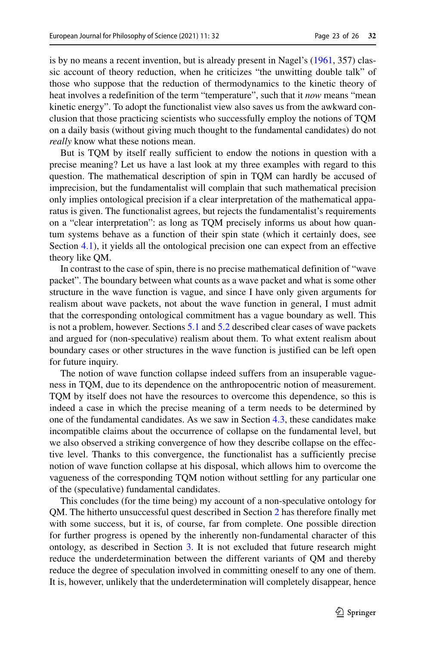is by no means a recent invention, but is already present in Nagel's [\(1961,](#page-24-31) 357) classic account of theory reduction, when he criticizes "the unwitting double talk" of those who suppose that the reduction of thermodynamics to the kinetic theory of heat involves a redefinition of the term "temperature", such that it *now* means "mean kinetic energy". To adopt the functionalist view also saves us from the awkward conclusion that those practicing scientists who successfully employ the notions of TQM on a daily basis (without giving much thought to the fundamental candidates) do not *really* know what these notions mean.

But is TQM by itself really sufficient to endow the notions in question with a precise meaning? Let us have a last look at my three examples with regard to this question. The mathematical description of spin in TQM can hardly be accused of imprecision, but the fundamentalist will complain that such mathematical precision only implies ontological precision if a clear interpretation of the mathematical apparatus is given. The functionalist agrees, but rejects the fundamentalist's requirements on a "clear interpretation": as long as TQM precisely informs us about how quantum systems behave as a function of their spin state (which it certainly does, see Section [4.1\)](#page-10-1), it yields all the ontological precision one can expect from an effective theory like QM.

In contrast to the case of spin, there is no precise mathematical definition of "wave packet". The boundary between what counts as a wave packet and what is some other structure in the wave function is vague, and since I have only given arguments for realism about wave packets, not about the wave function in general, I must admit that the corresponding ontological commitment has a vague boundary as well. This is not a problem, however. Sections [5.1](#page-16-1) and [5.2](#page-18-0) described clear cases of wave packets and argued for (non-speculative) realism about them. To what extent realism about boundary cases or other structures in the wave function is justified can be left open for future inquiry.

The notion of wave function collapse indeed suffers from an insuperable vagueness in TQM, due to its dependence on the anthropocentric notion of measurement. TQM by itself does not have the resources to overcome this dependence, so this is indeed a case in which the precise meaning of a term needs to be determined by one of the fundamental candidates. As we saw in Section [4.3,](#page-14-0) these candidates make incompatible claims about the occurrence of collapse on the fundamental level, but we also observed a striking convergence of how they describe collapse on the effective level. Thanks to this convergence, the functionalist has a sufficiently precise notion of wave function collapse at his disposal, which allows him to overcome the vagueness of the corresponding TQM notion without settling for any particular one of the (speculative) fundamental candidates.

This concludes (for the time being) my account of a non-speculative ontology for QM. The hitherto unsuccessful quest described in Section [2](#page-2-1) has therefore finally met with some success, but it is, of course, far from complete. One possible direction for further progress is opened by the inherently non-fundamental character of this ontology, as described in Section [3.](#page-4-0) It is not excluded that future research might reduce the underdetermination between the different variants of QM and thereby reduce the degree of speculation involved in committing oneself to any one of them. It is, however, unlikely that the underdetermination will completely disappear, hence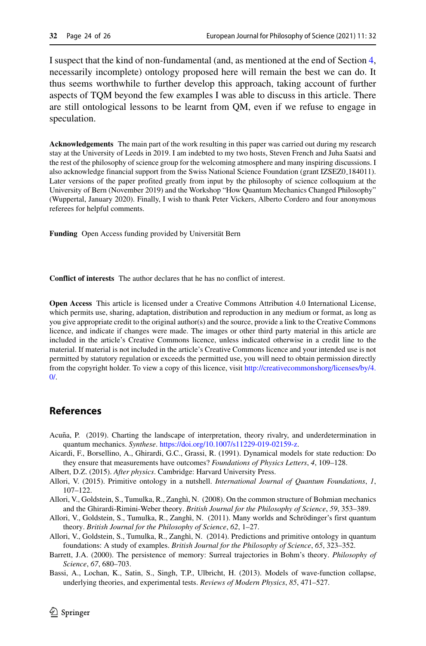I suspect that the kind of non-fundamental (and, as mentioned at the end of Section [4,](#page-10-0) necessarily incomplete) ontology proposed here will remain the best we can do. It thus seems worthwhile to further develop this approach, taking account of further aspects of TQM beyond the few examples I was able to discuss in this article. There are still ontological lessons to be learnt from QM, even if we refuse to engage in speculation.

**Acknowledgements** The main part of the work resulting in this paper was carried out during my research stay at the University of Leeds in 2019. I am indebted to my two hosts, Steven French and Juha Saatsi and the rest of the philosophy of science group for the welcoming atmosphere and many inspiring discussions. I also acknowledge financial support from the Swiss National Science Foundation (grant IZSEZ0<sub>-184011</sub>). Later versions of the paper profited greatly from input by the philosophy of science colloquium at the University of Bern (November 2019) and the Workshop "How Quantum Mechanics Changed Philosophy" (Wuppertal, January 2020). Finally, I wish to thank Peter Vickers, Alberto Cordero and four anonymous referees for helpful comments.

Funding Open Access funding provided by Universität Bern

**Conflict of interests** The author declares that he has no conflict of interest.

**Open Access** This article is licensed under a Creative Commons Attribution 4.0 International License, which permits use, sharing, adaptation, distribution and reproduction in any medium or format, as long as you give appropriate credit to the original author(s) and the source, provide a link to the Creative Commons licence, and indicate if changes were made. The images or other third party material in this article are included in the article's Creative Commons licence, unless indicated otherwise in a credit line to the material. If material is not included in the article's Creative Commons licence and your intended use is not permitted by statutory regulation or exceeds the permitted use, you will need to obtain permission directly from the copyright holder. To view a copy of this licence, visit [http://creativecommonshorg/licenses/by/4.](http://creativecommonshorg/licenses/by/4.0/)  $\Omega$ 

## **References**

- <span id="page-23-0"></span>Acuña, P. (2019). Charting the landscape of interpretation, theory rivalry, and underdetermination in quantum mechanics. *Synthese*. [https://doi.org/10.1007/s11229-019-02159-z.](https://doi.org/10.1007/s11229-019-02159-z)
- <span id="page-23-5"></span>Aicardi, F., Borsellino, A., Ghirardi, G.C., Grassi, R. (1991). Dynamical models for state reduction: Do they ensure that measurements have outcomes? *Foundations of Physics Letters*, *4*, 109–128.
- <span id="page-23-2"></span>Albert, D.Z. (2015). *After physics*. Cambridge: Harvard University Press.
- <span id="page-23-1"></span>Allori, V. (2015). Primitive ontology in a nutshell. *International Journal of Quantum Foundations*, *1*, 107–122.
- <span id="page-23-6"></span>Allori, V., Goldstein, S., Tumulka, R., Zangh`ı, N. (2008). On the common structure of Bohmian mechanics and the Ghirardi-Rimini-Weber theory. *British Journal for the Philosophy of Science*, *59*, 353–389.
- <span id="page-23-3"></span>Allori, V., Goldstein, S., Tumulka, R., Zanghì, N. (2011). Many worlds and Schrödinger's first quantum theory. *British Journal for the Philosophy of Science*, *62*, 1–27.
- <span id="page-23-4"></span>Allori, V., Goldstein, S., Tumulka, R., Zanghì, N. (2014). Predictions and primitive ontology in quantum foundations: A study of examples. *British Journal for the Philosophy of Science*, *65*, 323–352.
- <span id="page-23-8"></span>Barrett, J.A. (2000). The persistence of memory: Surreal trajectories in Bohm's theory. *Philosophy of Science*, *67*, 680–703.

<span id="page-23-7"></span>Bassi, A., Lochan, K., Satin, S., Singh, T.P., Ulbricht, H. (2013). Models of wave-function collapse, underlying theories, and experimental tests. *Reviews of Modern Physics*, *85*, 471–527.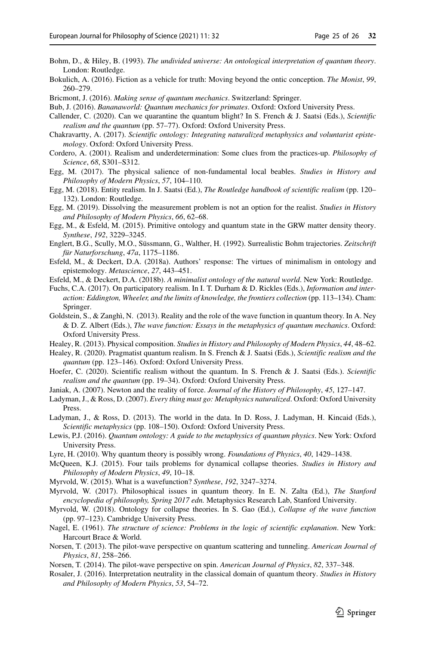- <span id="page-24-23"></span>Bohm, D., & Hiley, B. (1993). *The undivided universe: An ontological interpretation of quantum theory*. London: Routledge.
- <span id="page-24-15"></span>Bokulich, A. (2016). Fiction as a vehicle for truth: Moving beyond the ontic conception. *The Monist*, *99*, 260–279.
- <span id="page-24-4"></span>Bricmont, J. (2016). *Making sense of quantum mechanics*. Switzerland: Springer.
- <span id="page-24-8"></span>Bub, J. (2016). *Bananaworld: Quantum mechanics for primates*. Oxford: Oxford University Press.
- <span id="page-24-7"></span>Callender, C. (2020). Can we quarantine the quantum blight? In S. French & J. Saatsi (Eds.), *Scientific realism and the quantum* (pp. 57–77). Oxford: Oxford University Press.
- <span id="page-24-30"></span>Chakravartty, A. (2017). *Scientific ontology: Integrating naturalized metaphysics and voluntarist epistemology*. Oxford: Oxford University Press.
- <span id="page-24-1"></span>Cordero, A. (2001). Realism and underdetermination: Some clues from the practices-up. *Philosophy of Science*, *68*, S301–S312.
- <span id="page-24-28"></span>Egg, M. (2017). The physical salience of non-fundamental local beables. *Studies in History and Philosophy of Modern Physics*, *57*, 104–110.
- <span id="page-24-13"></span>Egg, M. (2018). Entity realism. In J. Saatsi (Ed.), *The Routledge handbook of scientific realism* (pp. 120– 132). London: Routledge.
- <span id="page-24-11"></span>Egg, M. (2019). Dissolving the measurement problem is not an option for the realist. *Studies in History and Philosophy of Modern Physics*, *66*, 62–68.
- <span id="page-24-20"></span>Egg, M., & Esfeld, M. (2015). Primitive ontology and quantum state in the GRW matter density theory. *Synthese*, *192*, 3229–3245.
- <span id="page-24-26"></span>Englert, B.G., Scully, M.O., Süssmann, G., Walther, H. (1992). Surrealistic Bohm trajectories. Zeitschrift *f¨ur Naturforschung*, *47a*, 1175–1186.
- <span id="page-24-22"></span>Esfeld, M., & Deckert, D.A. (2018a). Authors' response: The virtues of minimalism in ontology and epistemology. *Metascience*, *27*, 443–451.
- <span id="page-24-19"></span>Esfeld, M., & Deckert, D.A. (2018b). *A minimalist ontology of the natural world*. New York: Routledge.
- <span id="page-24-6"></span>Fuchs, C.A. (2017). On participatory realism. In I. T. Durham & D. Rickles (Eds.), *Information and interaction: Eddington, Wheeler, and the limits of knowledge, the frontiers collection* (pp. 113–134). Cham: Springer.
- <span id="page-24-18"></span>Goldstein, S., & Zanghì, N. (2013). Reality and the role of the wave function in quantum theory. In A. Ney & D. Z. Albert (Eds.), *The wave function: Essays in the metaphysics of quantum mechanics*. Oxford: Oxford University Press.
- <span id="page-24-17"></span>Healey, R. (2013). Physical composition. *Studies in History and Philosophy of Modern Physics*, *44*, 48–62.
- <span id="page-24-5"></span>Healey, R. (2020). Pragmatist quantum realism. In S. French & J. Saatsi (Eds.), *Scientific realism and the quantum* (pp. 123–146). Oxford: Oxford University Press.
- <span id="page-24-12"></span>Hoefer, C. (2020). Scientific realism without the quantum. In S. French & J. Saatsi (Eds.). *Scientific realism and the quantum* (pp. 19–34). Oxford: Oxford University Press.
- <span id="page-24-16"></span>Janiak, A. (2007). Newton and the reality of force. *Journal of the History of Philosophy*, *45*, 127–147.
- <span id="page-24-9"></span>Ladyman, J., & Ross, D. (2007). *Every thing must go: Metaphysics naturalized*. Oxford: Oxford University Press.
- <span id="page-24-10"></span>Ladyman, J., & Ross, D. (2013). The world in the data. In D. Ross, J. Ladyman, H. Kincaid (Eds.), *Scientific metaphysics* (pp. 108–150). Oxford: Oxford University Press.
- <span id="page-24-3"></span>Lewis, P.J. (2016). *Quantum ontology: A guide to the metaphysics of quantum physics*. New York: Oxford University Press.
- <span id="page-24-2"></span>Lyre, H. (2010). Why quantum theory is possibly wrong. *Foundations of Physics*, *40*, 1429–1438.
- <span id="page-24-24"></span>McQueen, K.J. (2015). Four tails problems for dynamical collapse theories. *Studies in History and Philosophy of Modern Physics*, *49*, 10–18.
- <span id="page-24-14"></span>Myrvold, W. (2015). What is a wavefunction? *Synthese*, *192*, 3247–3274.
- <span id="page-24-0"></span>Myrvold, W. (2017). Philosophical issues in quantum theory. In E. N. Zalta (Ed.), *The Stanford encyclopedia of philosophy, Spring 2017 edn.* Metaphysics Research Lab, Stanford University.
- <span id="page-24-29"></span>Myrvold, W. (2018). Ontology for collapse theories. In S. Gao (Ed.), *Collapse of the wave function* (pp. 97–123). Cambridge University Press.
- <span id="page-24-31"></span>Nagel, E. (1961). *The structure of science: Problems in the logic of scientific explanation*. New York: Harcourt Brace & World.
- <span id="page-24-27"></span>Norsen, T. (2013). The pilot-wave perspective on quantum scattering and tunneling. *American Journal of Physics*, *81*, 258–266.
- <span id="page-24-21"></span>Norsen, T. (2014). The pilot-wave perspective on spin. *American Journal of Physics*, *82*, 337–348.
- <span id="page-24-25"></span>Rosaler, J. (2016). Interpretation neutrality in the classical domain of quantum theory. *Studies in History and Philosophy of Modern Physics*, *53*, 54–72.